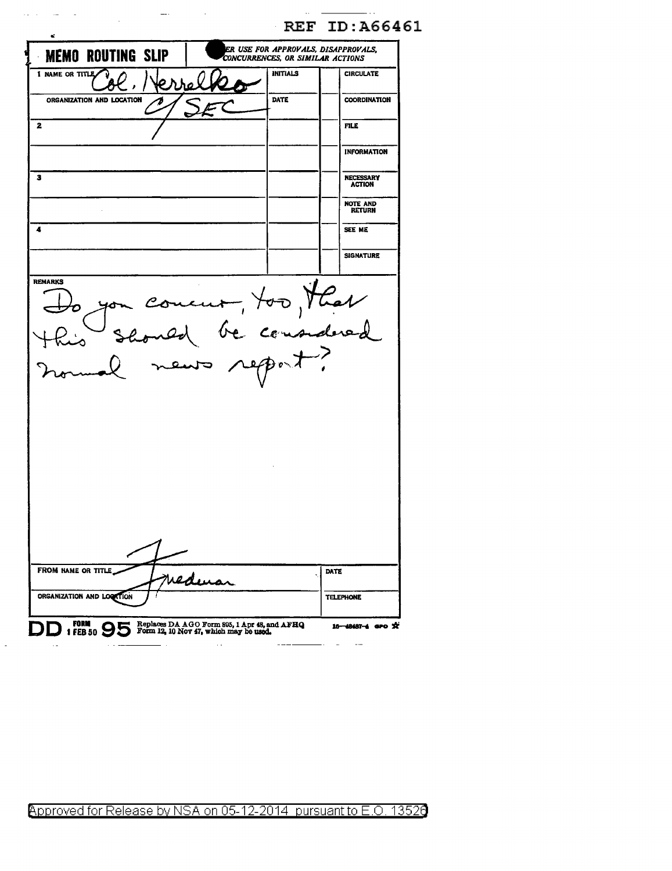|                                | <b>REF ID: A66461</b>                                                   |                                   |
|--------------------------------|-------------------------------------------------------------------------|-----------------------------------|
| e.<br><b>MEMO ROUTING SLIP</b> | ER USE FOR APPROVALS, DISAPPROVALS,<br>CONCURRENCES, OR SIMILAR ACTIONS |                                   |
| 1 NAME OR TITLE                | <b>INITIALS</b>                                                         | <b>CIRCULATE</b>                  |
| ORGANIZATION AND LOCATION      | DATE                                                                    | COORDINATION                      |
| $\mathbf{2}$                   |                                                                         | <b>FILE</b>                       |
|                                |                                                                         | <b>INFORMATION</b>                |
| 3                              |                                                                         | <b>NECESSARY</b><br><b>ACTION</b> |
|                                |                                                                         | <b>NOTE AND</b><br><b>RETURN</b>  |
|                                |                                                                         | SEE ME                            |
|                                |                                                                         | <b>SIGNATURE</b>                  |
|                                | m concur, too, that                                                     |                                   |
|                                |                                                                         |                                   |

 $\sim 1100$  km s  $^{-1}$  and  $^{-1}$ 

Approved for Release by NSA on 05-12-2014 pursuant to E.O. 13526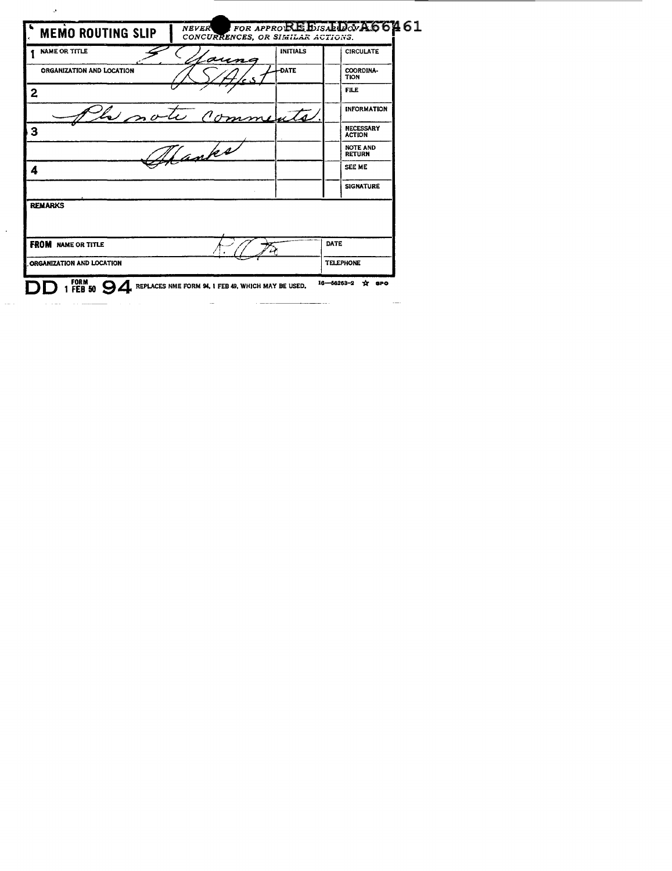| <b>MEMO ROUTING SLIP</b>         | $t$ for approprise $B$ is abidov $A$ 66461<br>CONCURRENCES, OR SIMILAR ACTIONS. |                                   |
|----------------------------------|---------------------------------------------------------------------------------|-----------------------------------|
| <b>NAME OR TITLE</b>             | <b>INITIALS</b><br>aung                                                         | <b>CIRCULATE</b>                  |
| <b>ORGANIZATION AND LOCATION</b> | <b>DATE</b>                                                                     | COORDINA-<br><b>TION</b>          |
| 2                                |                                                                                 | <b>FILE</b>                       |
| le note                          | $\rho_{0}$<br>mmente                                                            | <b>INFORMATION</b>                |
| 3                                |                                                                                 | <b>NECESSARY</b><br><b>ACTION</b> |
| anke                             |                                                                                 | <b>NOTE AND</b><br><b>RETURN</b>  |
| 4                                |                                                                                 | SEE ME                            |
|                                  |                                                                                 | <b>SIGNATURE</b>                  |
| <b>REMARKS</b>                   |                                                                                 |                                   |
|                                  |                                                                                 |                                   |
| <b>FROM</b> NAME OR TITLE        |                                                                                 | DATE                              |
| ORGANIZATION AND LOCATION        |                                                                                 | <b>TELEPHONE</b>                  |

 $\ddot{\phantom{0}}$ 

 $\omega = \omega$  as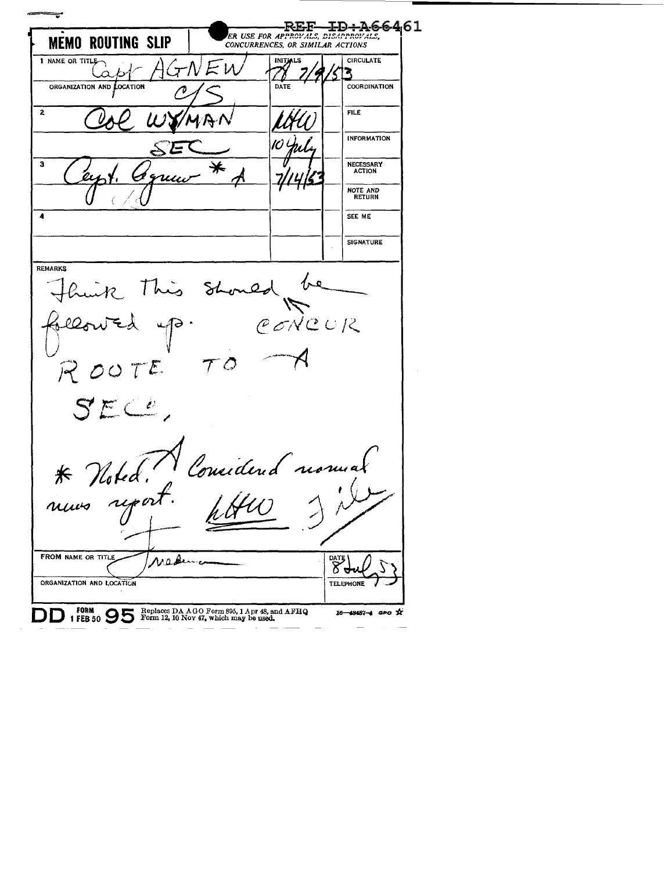╤ **ER USE FOR APPROVALS, DISAPPROVALS, MEMO ROUTING SLIP** *CONCURRENCES, OR SIMILAR ACTIONS*  1 NAME OR TITLE **INITIALS CIRCULATE** GNEU Capt R ORGANIZATION AND COCATION **COORDINATION** DATE  $\overline{2}$ FILE INFORMATION IO 3 NECESSARY ACTION ⋇  $u\mu$ NOTE AND RETURN **4**  SEE ME **SIGNATURE REMARKS** huik This Should<br>lowed up. C lowed CONCUR  $R007$  $\Im$  $E \subseteq C$ \* Noted.<br>nuws report Considered nomes FROM NAME OR TITLE Madene dat<br>8 ORGANIZATION AND LOCATION **TELEPHONE** DD **FORM 9 5** Replaces DA AGO Form 895, 1 Apr 48, and AFRQ **1 FEB** 50 Form 12, 10 Nov 47, which may be used. 16-48487-4 aro X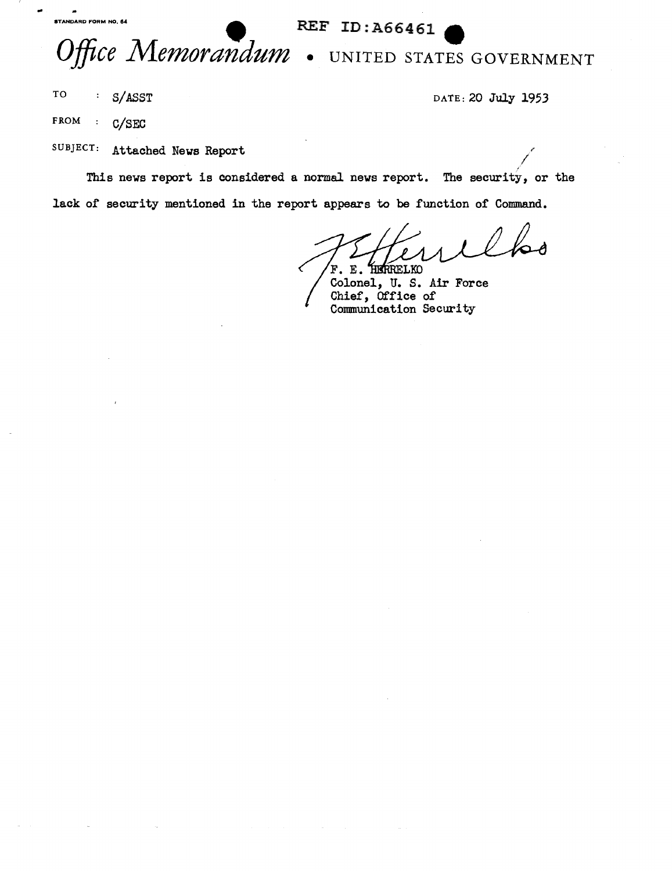## **EXAMPARD FORM NO. 64 EXAMPARD FORM NO. 64 EXAMPARD REF ID** :  $\lambda$ 66461



I

TO S/ASST DATE: 20 July 1953

FROM : C/SEC

SUBJECT: Attached News Report

This news report is considered a normal news report. The security, or the lack of security mentioned in the report appears to be function of Command.

HERRELKO  $\mathbf E$ . F.

Colonel, U. S. Air Force Chief, Office of Conununication Security